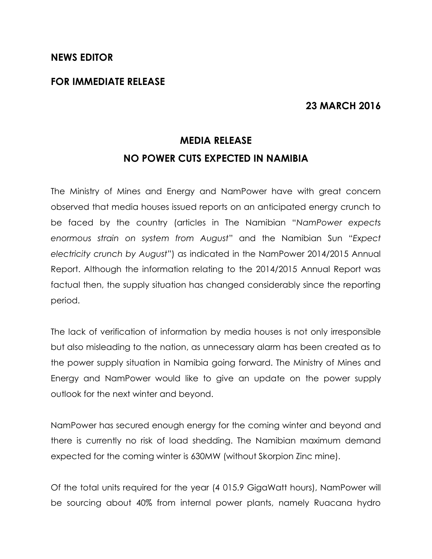#### **NEWS EDITOR**

### **FOR IMMEDIATE RELEASE**

## **23 MARCH 2016**

# **MEDIA RELEASE NO POWER CUTS EXPECTED IN NAMIBIA**

The Ministry of Mines and Energy and NamPower have with great concern observed that media houses issued reports on an anticipated energy crunch to be faced by the country (articles in The Namibian "*NamPower expects enormous strain on system from August*" and the Namibian Sun "*Expect electricity crunch by August*") as indicated in the NamPower 2014/2015 Annual Report. Although the information relating to the 2014/2015 Annual Report was factual then, the supply situation has changed considerably since the reporting period.

The lack of verification of information by media houses is not only irresponsible but also misleading to the nation, as unnecessary alarm has been created as to the power supply situation in Namibia going forward. The Ministry of Mines and Energy and NamPower would like to give an update on the power supply outlook for the next winter and beyond.

NamPower has secured enough energy for the coming winter and beyond and there is currently no risk of load shedding. The Namibian maximum demand expected for the coming winter is 630MW (without Skorpion Zinc mine).

Of the total units required for the year (4 015.9 GigaWatt hours), NamPower will be sourcing about 40% from internal power plants, namely Ruacana hydro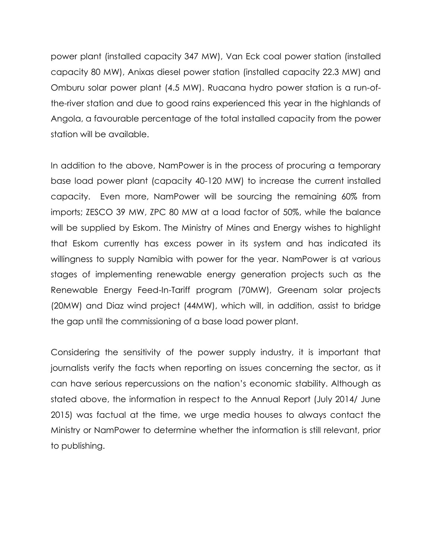power plant (installed capacity 347 MW), Van Eck coal power station (installed capacity 80 MW), Anixas diesel power station (installed capacity 22.3 MW) and Omburu solar power plant (4.5 MW). Ruacana hydro power station is a run-ofthe-river station and due to good rains experienced this year in the highlands of Angola, a favourable percentage of the total installed capacity from the power station will be available.

In addition to the above, NamPower is in the process of procuring a temporary base load power plant (capacity 40-120 MW) to increase the current installed capacity. Even more, NamPower will be sourcing the remaining 60% from imports; ZESCO 39 MW, ZPC 80 MW at a load factor of 50%, while the balance will be supplied by Eskom. The Ministry of Mines and Energy wishes to highlight that Eskom currently has excess power in its system and has indicated its willingness to supply Namibia with power for the year. NamPower is at various stages of implementing renewable energy generation projects such as the Renewable Energy Feed-In-Tariff program (70MW), Greenam solar projects (20MW) and Diaz wind project (44MW), which will, in addition, assist to bridge the gap until the commissioning of a base load power plant.

Considering the sensitivity of the power supply industry, it is important that journalists verify the facts when reporting on issues concerning the sector, as it can have serious repercussions on the nation's economic stability. Although as stated above, the information in respect to the Annual Report (July 2014/ June 2015) was factual at the time, we urge media houses to always contact the Ministry or NamPower to determine whether the information is still relevant, prior to publishing.